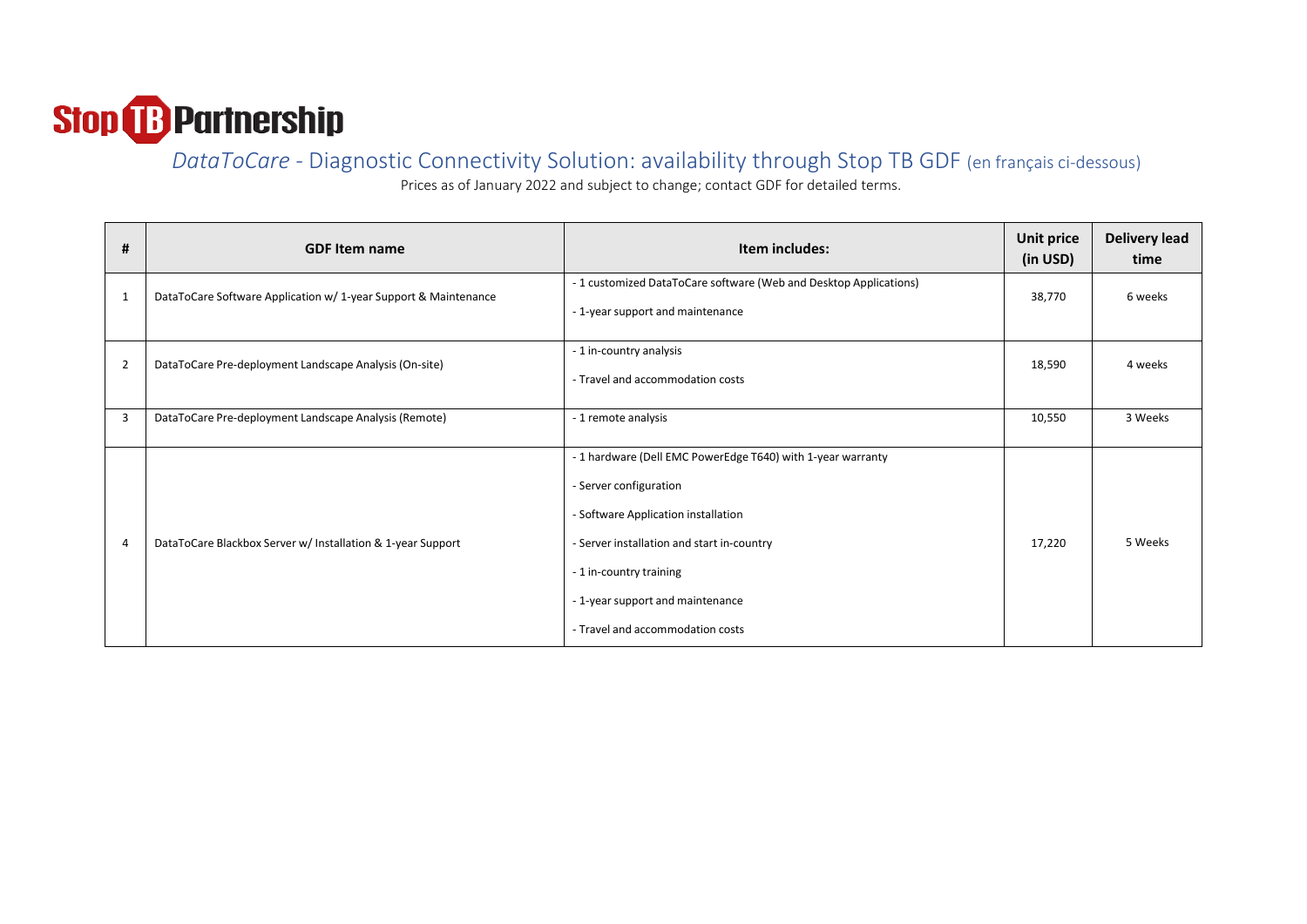

*DataToCare* - Diagnostic Connectivity Solution: availability through Stop TB GDF (en français ci-dessous)

Prices as of January 2022 and subject to change; contact GDF for detailed terms.

| #              | <b>GDF Item name</b>                                                                                                  | Item includes:                                                                                                                                                                                                                                                                | <b>Unit price</b><br>(in USD) | <b>Delivery lead</b><br>time |
|----------------|-----------------------------------------------------------------------------------------------------------------------|-------------------------------------------------------------------------------------------------------------------------------------------------------------------------------------------------------------------------------------------------------------------------------|-------------------------------|------------------------------|
| $\mathbf{1}$   | DataToCare Software Application w/ 1-year Support & Maintenance                                                       | - 1 customized DataToCare software (Web and Desktop Applications)<br>- 1-year support and maintenance                                                                                                                                                                         | 38,770                        | 6 weeks                      |
| $\overline{2}$ | - 1 in-country analysis<br>DataToCare Pre-deployment Landscape Analysis (On-site)<br>- Travel and accommodation costs |                                                                                                                                                                                                                                                                               | 18,590                        | 4 weeks                      |
| 3              | DataToCare Pre-deployment Landscape Analysis (Remote)                                                                 | -1 remote analysis                                                                                                                                                                                                                                                            | 10,550                        | 3 Weeks                      |
| $\overline{4}$ | DataToCare Blackbox Server w/ Installation & 1-year Support                                                           | - 1 hardware (Dell EMC PowerEdge T640) with 1-year warranty<br>- Server configuration<br>- Software Application installation<br>- Server installation and start in-country<br>- 1 in-country training<br>- 1-year support and maintenance<br>- Travel and accommodation costs | 17,220                        | 5 Weeks                      |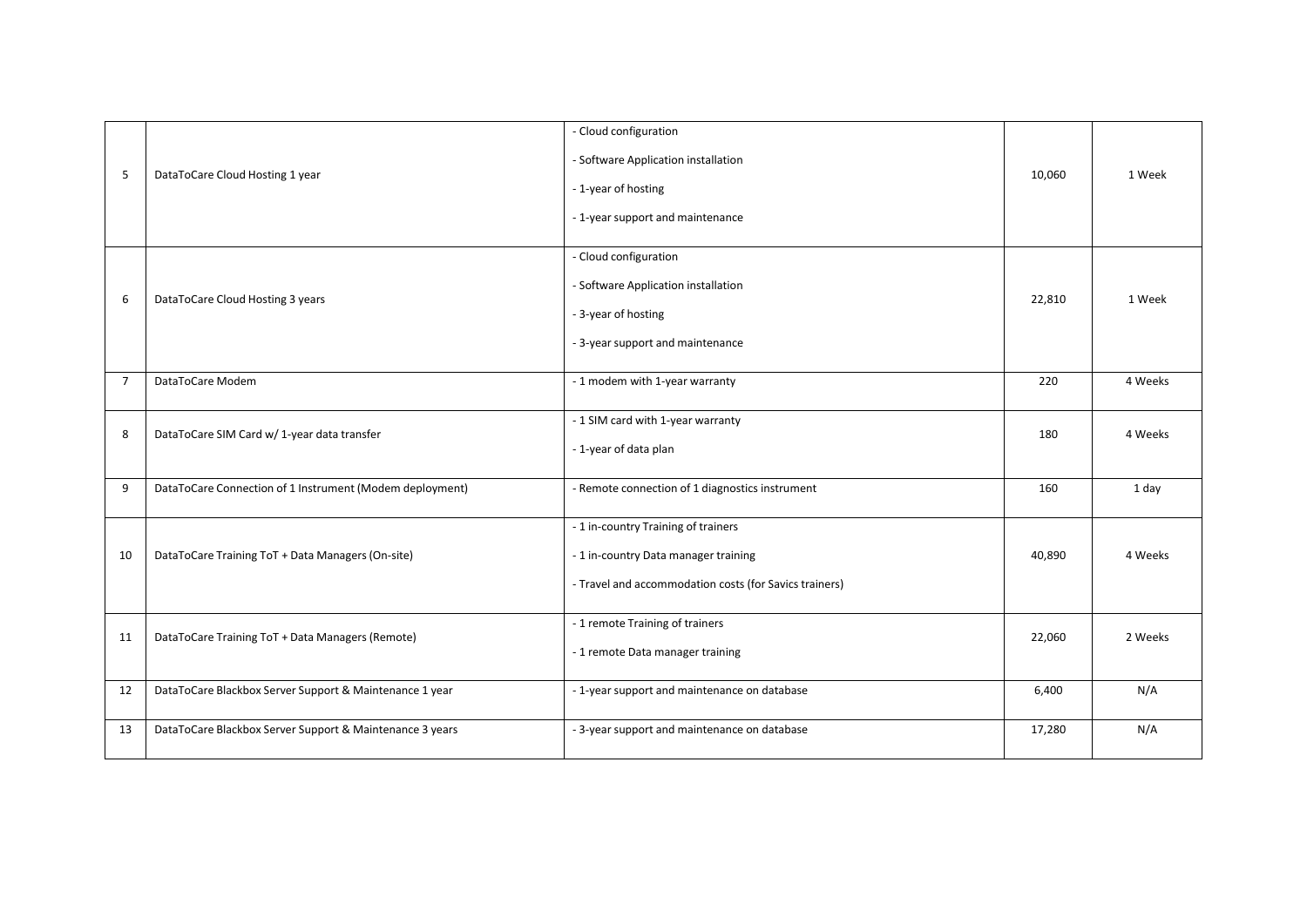| 5              | DataToCare Cloud Hosting 1 year                          | - Cloud configuration<br>- Software Application installation<br>- 1-year of hosting<br>- 1-year support and maintenance               | 10,060 | 1 Week  |
|----------------|----------------------------------------------------------|---------------------------------------------------------------------------------------------------------------------------------------|--------|---------|
| 6              | DataToCare Cloud Hosting 3 years                         | - Cloud configuration<br>- Software Application installation<br>- 3-year of hosting<br>- 3-year support and maintenance               | 22,810 | 1 Week  |
| $\overline{7}$ | DataToCare Modem                                         | - 1 modem with 1-year warranty                                                                                                        | 220    | 4 Weeks |
| 8              | DataToCare SIM Card w/ 1-year data transfer              | - 1 SIM card with 1-year warranty<br>- 1-year of data plan                                                                            | 180    | 4 Weeks |
| 9              | DataToCare Connection of 1 Instrument (Modem deployment) | - Remote connection of 1 diagnostics instrument                                                                                       | 160    | 1 day   |
| 10             | DataToCare Training ToT + Data Managers (On-site)        | - 1 in-country Training of trainers<br>- 1 in-country Data manager training<br>- Travel and accommodation costs (for Savics trainers) | 40,890 | 4 Weeks |
| 11             | DataToCare Training ToT + Data Managers (Remote)         | - 1 remote Training of trainers<br>- 1 remote Data manager training                                                                   | 22,060 | 2 Weeks |
| 12             | DataToCare Blackbox Server Support & Maintenance 1 year  | - 1-year support and maintenance on database                                                                                          | 6,400  | N/A     |
| 13             | DataToCare Blackbox Server Support & Maintenance 3 years | - 3-year support and maintenance on database                                                                                          | 17,280 | N/A     |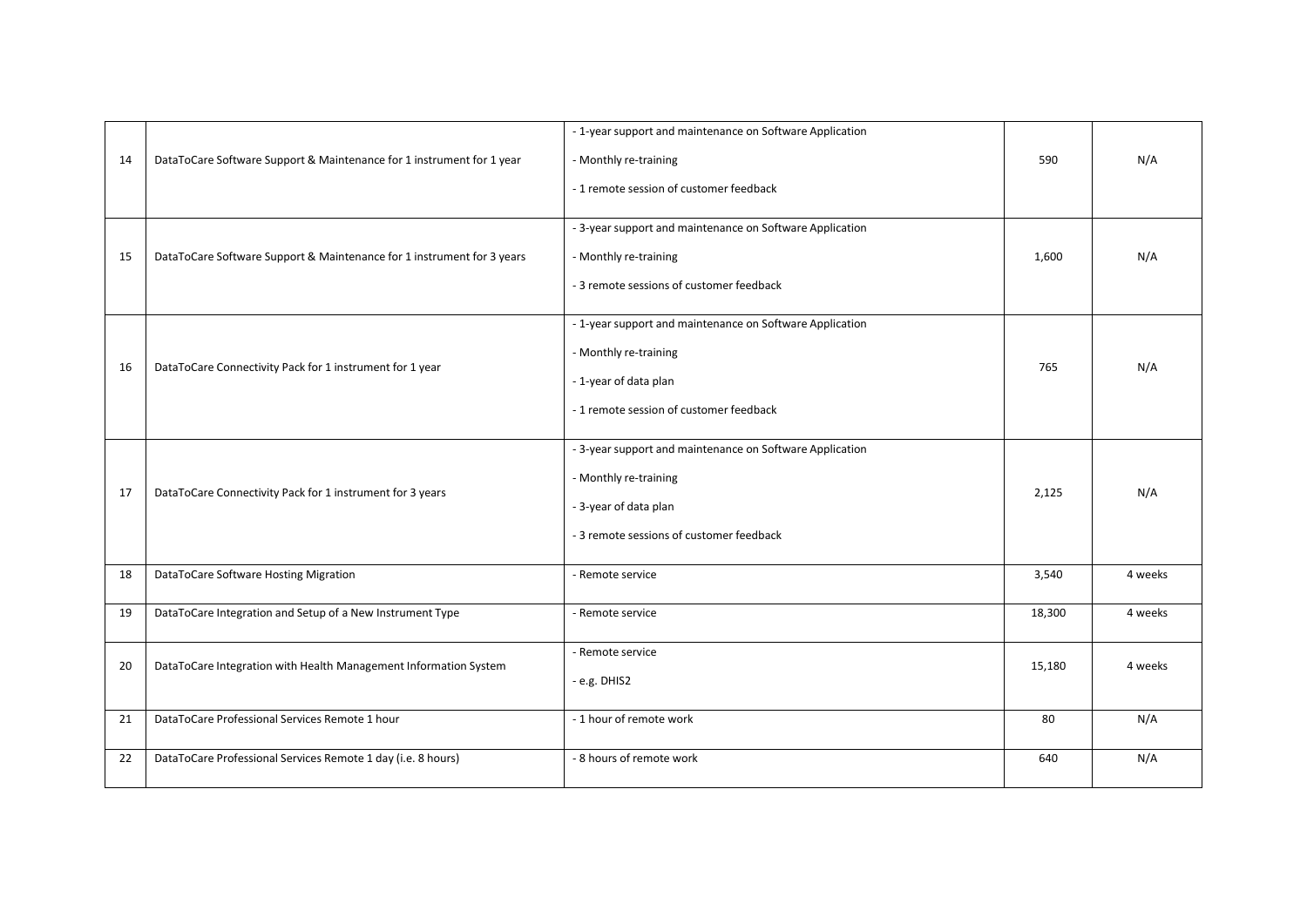|    |                                                                        | - 1-year support and maintenance on Software Application |        |         |
|----|------------------------------------------------------------------------|----------------------------------------------------------|--------|---------|
| 14 | DataToCare Software Support & Maintenance for 1 instrument for 1 year  | - Monthly re-training                                    | 590    | N/A     |
|    |                                                                        | - 1 remote session of customer feedback                  |        |         |
|    |                                                                        | - 3-year support and maintenance on Software Application |        |         |
| 15 | DataToCare Software Support & Maintenance for 1 instrument for 3 years | - Monthly re-training                                    | 1,600  | N/A     |
|    |                                                                        | - 3 remote sessions of customer feedback                 |        |         |
|    |                                                                        | - 1-year support and maintenance on Software Application |        |         |
| 16 | DataToCare Connectivity Pack for 1 instrument for 1 year               | - Monthly re-training                                    | 765    | N/A     |
|    |                                                                        | - 1-year of data plan                                    |        |         |
|    |                                                                        | - 1 remote session of customer feedback                  |        |         |
|    | DataToCare Connectivity Pack for 1 instrument for 3 years              | - 3-year support and maintenance on Software Application |        |         |
| 17 |                                                                        | - Monthly re-training                                    | 2,125  | N/A     |
|    |                                                                        | - 3-year of data plan                                    |        |         |
|    |                                                                        | - 3 remote sessions of customer feedback                 |        |         |
| 18 | DataToCare Software Hosting Migration                                  | - Remote service                                         | 3,540  | 4 weeks |
| 19 | DataToCare Integration and Setup of a New Instrument Type              | - Remote service                                         | 18,300 | 4 weeks |
| 20 | DataToCare Integration with Health Management Information System       | - Remote service                                         | 15,180 | 4 weeks |
|    |                                                                        | - e.g. DHIS2                                             |        |         |
| 21 | DataToCare Professional Services Remote 1 hour                         | - 1 hour of remote work                                  | 80     | N/A     |
| 22 | DataToCare Professional Services Remote 1 day (i.e. 8 hours)           | - 8 hours of remote work                                 | 640    | N/A     |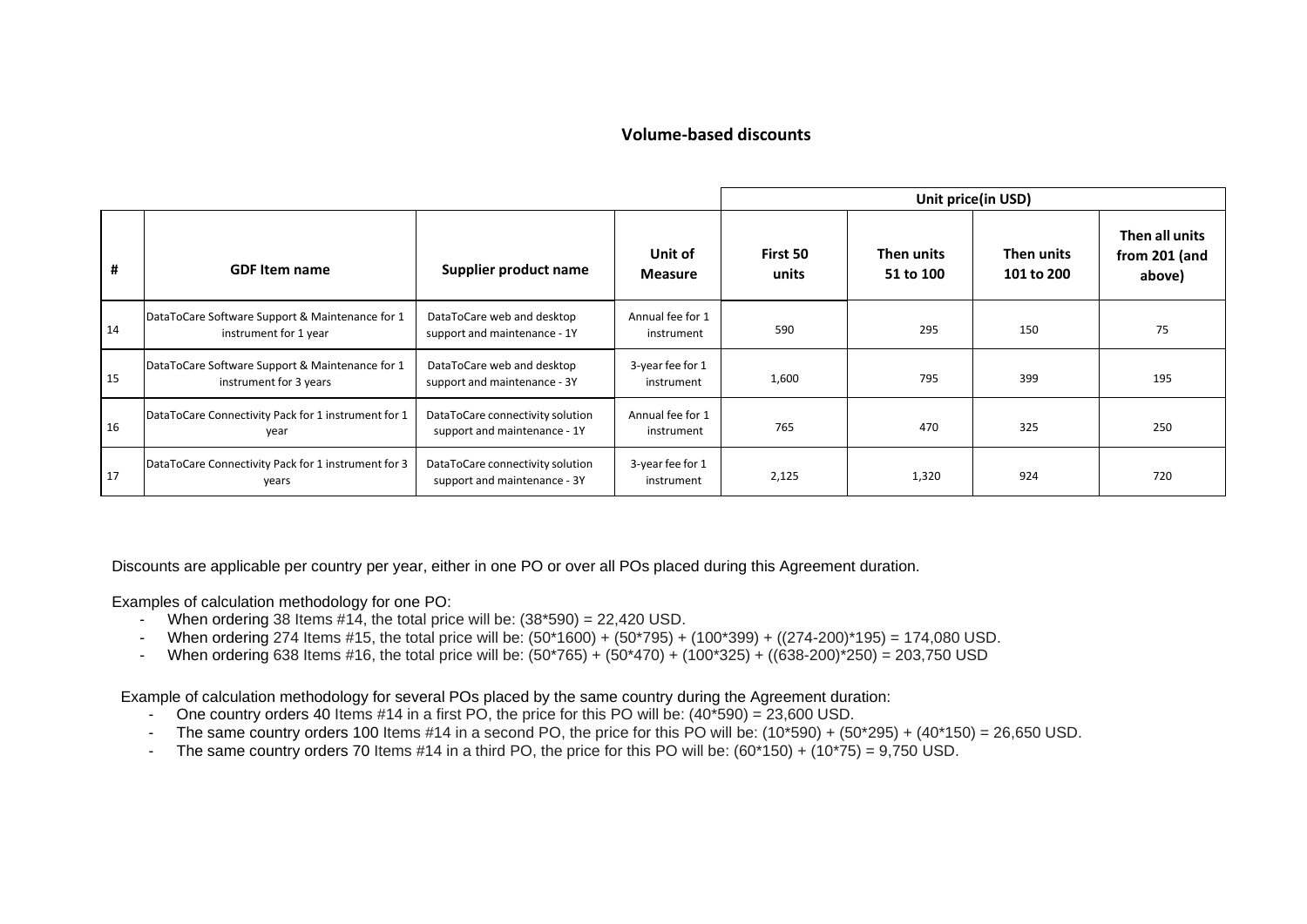## **Volume-based discounts**

|    |                                                                           |                                                                  |                                | Unit price(in USD) |                         |                          |                                           |
|----|---------------------------------------------------------------------------|------------------------------------------------------------------|--------------------------------|--------------------|-------------------------|--------------------------|-------------------------------------------|
| #  | <b>GDF Item name</b>                                                      | Supplier product name                                            | Unit of<br><b>Measure</b>      | First 50<br>units  | Then units<br>51 to 100 | Then units<br>101 to 200 | Then all units<br>from 201 (and<br>above) |
| 14 | DataToCare Software Support & Maintenance for 1<br>instrument for 1 year  | DataToCare web and desktop<br>support and maintenance - 1Y       | Annual fee for 1<br>instrument | 590                | 295                     | 150                      | 75                                        |
| 15 | DataToCare Software Support & Maintenance for 1<br>instrument for 3 years | DataToCare web and desktop<br>support and maintenance - 3Y       | 3-year fee for 1<br>instrument | 1,600              | 795                     | 399                      | 195                                       |
| 16 | DataToCare Connectivity Pack for 1 instrument for 1<br>year               | DataToCare connectivity solution<br>support and maintenance - 1Y | Annual fee for 1<br>instrument | 765                | 470                     | 325                      | 250                                       |
| 17 | DataToCare Connectivity Pack for 1 instrument for 3<br>years              | DataToCare connectivity solution<br>support and maintenance - 3Y | 3-year fee for 1<br>instrument | 2,125              | 1,320                   | 924                      | 720                                       |

Discounts are applicable per country per year, either in one PO or over all POs placed during this Agreement duration.

Examples of calculation methodology for one PO:

- When ordering 38 Items  $\#14$ , the total price will be:  $(38*590) = 22,420$  USD.
- When ordering 274 Items #15, the total price will be:  $(50*1600) + (50*795) + (100*399) + ((274-200)*195) = 174,080$  USD.
- When ordering 638 Items #16, the total price will be:  $(50*765) + (50*470) + (100*325) + ((638-200)*250) = 203,750 \text{ USD}$

Example of calculation methodology for several POs placed by the same country during the Agreement duration:

- One country orders 40 Items #14 in a first PO, the price for this PO will be: (40\*590) = 23,600 USD.
- The same country orders 100 Items #14 in a second PO, the price for this PO will be:  $(10*590) + (50*295) + (40*150) = 26,650$  USD.
- The same country orders 70 Items #14 in a third PO, the price for this PO will be:  $(60*150) + (10*75) = 9.750$  USD.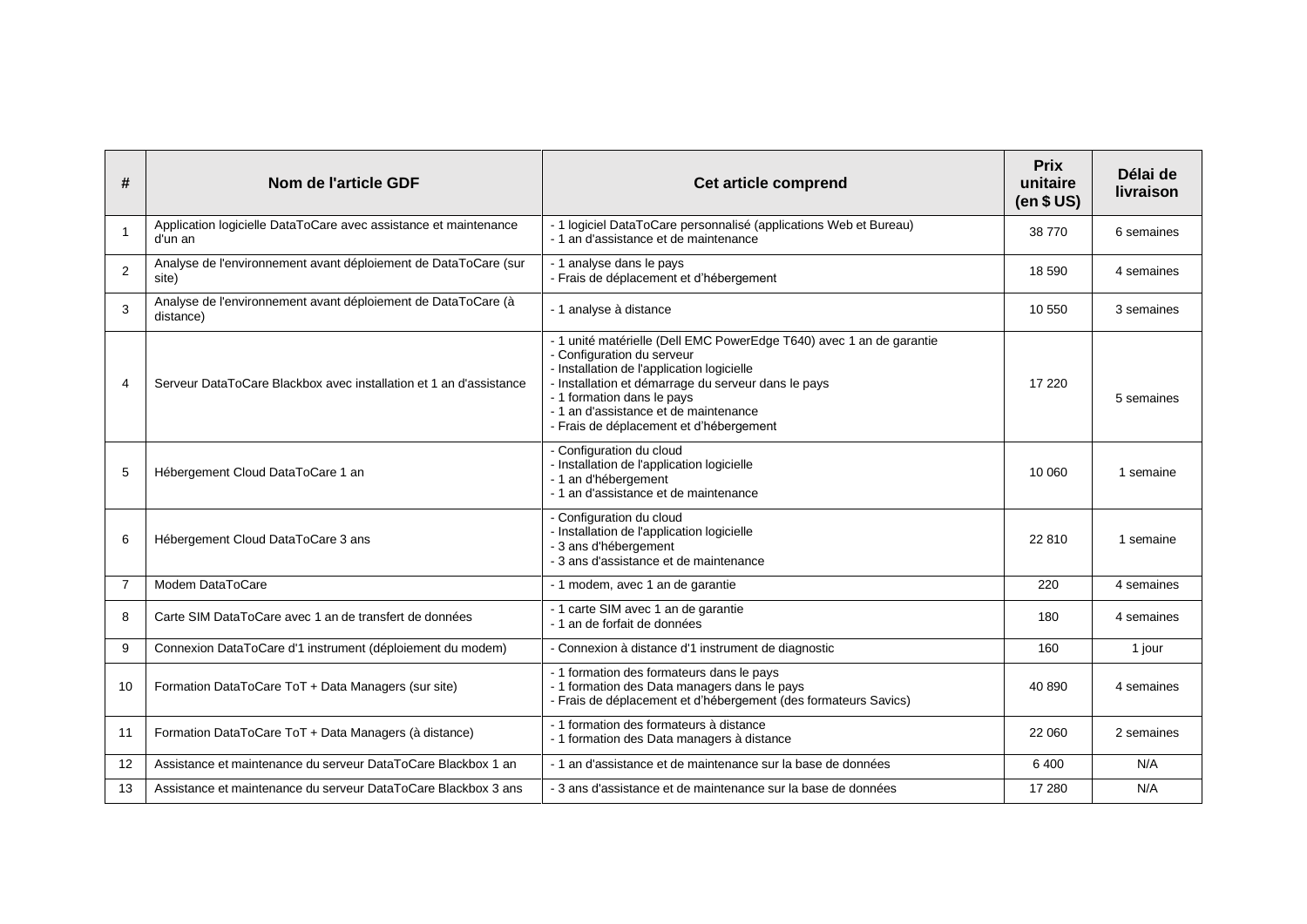| #              | Nom de l'article GDF                                                                                                                                                            | Cet article comprend                                                                                                                                                                                                                                                                                                      |        | Délai de<br>livraison |
|----------------|---------------------------------------------------------------------------------------------------------------------------------------------------------------------------------|---------------------------------------------------------------------------------------------------------------------------------------------------------------------------------------------------------------------------------------------------------------------------------------------------------------------------|--------|-----------------------|
| -1             | Application logicielle DataToCare avec assistance et maintenance<br>d'un an                                                                                                     | - 1 logiciel DataToCare personnalisé (applications Web et Bureau)<br>- 1 an d'assistance et de maintenance                                                                                                                                                                                                                | 38 770 | 6 semaines            |
| 2              | Analyse de l'environnement avant déploiement de DataToCare (sur<br>site)                                                                                                        | - 1 analyse dans le pays<br>- Frais de déplacement et d'hébergement                                                                                                                                                                                                                                                       | 18 590 | 4 semaines            |
| 3              | Analyse de l'environnement avant déploiement de DataToCare (à<br>distance)                                                                                                      | - 1 analyse à distance                                                                                                                                                                                                                                                                                                    | 10 550 | 3 semaines            |
| $\overline{4}$ | Serveur DataToCare Blackbox avec installation et 1 an d'assistance                                                                                                              | - 1 unité matérielle (Dell EMC PowerEdge T640) avec 1 an de garantie<br>- Configuration du serveur<br>- Installation de l'application logicielle<br>- Installation et démarrage du serveur dans le pays<br>- 1 formation dans le pays<br>- 1 an d'assistance et de maintenance<br>- Frais de déplacement et d'hébergement |        | 5 semaines            |
| 5              | Hébergement Cloud DataToCare 1 an                                                                                                                                               | - Configuration du cloud<br>- Installation de l'application logicielle<br>- 1 an d'hébergement<br>- 1 an d'assistance et de maintenance                                                                                                                                                                                   | 10 060 | 1 semaine             |
| 6              | - Configuration du cloud<br>- Installation de l'application logicielle<br>Hébergement Cloud DataToCare 3 ans<br>- 3 ans d'hébergement<br>- 3 ans d'assistance et de maintenance |                                                                                                                                                                                                                                                                                                                           | 22 810 | 1 semaine             |
| $\overline{7}$ | Modem DataToCare                                                                                                                                                                | - 1 modem, avec 1 an de garantie                                                                                                                                                                                                                                                                                          | 220    | 4 semaines            |
| 8              | Carte SIM DataToCare avec 1 an de transfert de données                                                                                                                          | - 1 carte SIM avec 1 an de garantie<br>- 1 an de forfait de données                                                                                                                                                                                                                                                       | 180    | 4 semaines            |
| 9              | Connexion DataToCare d'1 instrument (déploiement du modem)                                                                                                                      | - Connexion à distance d'1 instrument de diagnostic                                                                                                                                                                                                                                                                       | 160    | 1 jour                |
| 10             | Formation DataToCare ToT + Data Managers (sur site)                                                                                                                             | - 1 formation des formateurs dans le pays<br>- 1 formation des Data managers dans le pays<br>- Frais de déplacement et d'hébergement (des formateurs Savics)                                                                                                                                                              | 40 890 | 4 semaines            |
| 11             | Formation DataToCare ToT + Data Managers (à distance)                                                                                                                           | - 1 formation des formateurs à distance<br>- 1 formation des Data managers à distance                                                                                                                                                                                                                                     | 22 060 | 2 semaines            |
| 12             | Assistance et maintenance du serveur DataToCare Blackbox 1 an                                                                                                                   | - 1 an d'assistance et de maintenance sur la base de données                                                                                                                                                                                                                                                              | 6400   | N/A                   |
| 13             | Assistance et maintenance du serveur DataToCare Blackbox 3 ans                                                                                                                  | - 3 ans d'assistance et de maintenance sur la base de données                                                                                                                                                                                                                                                             | 17 280 | N/A                   |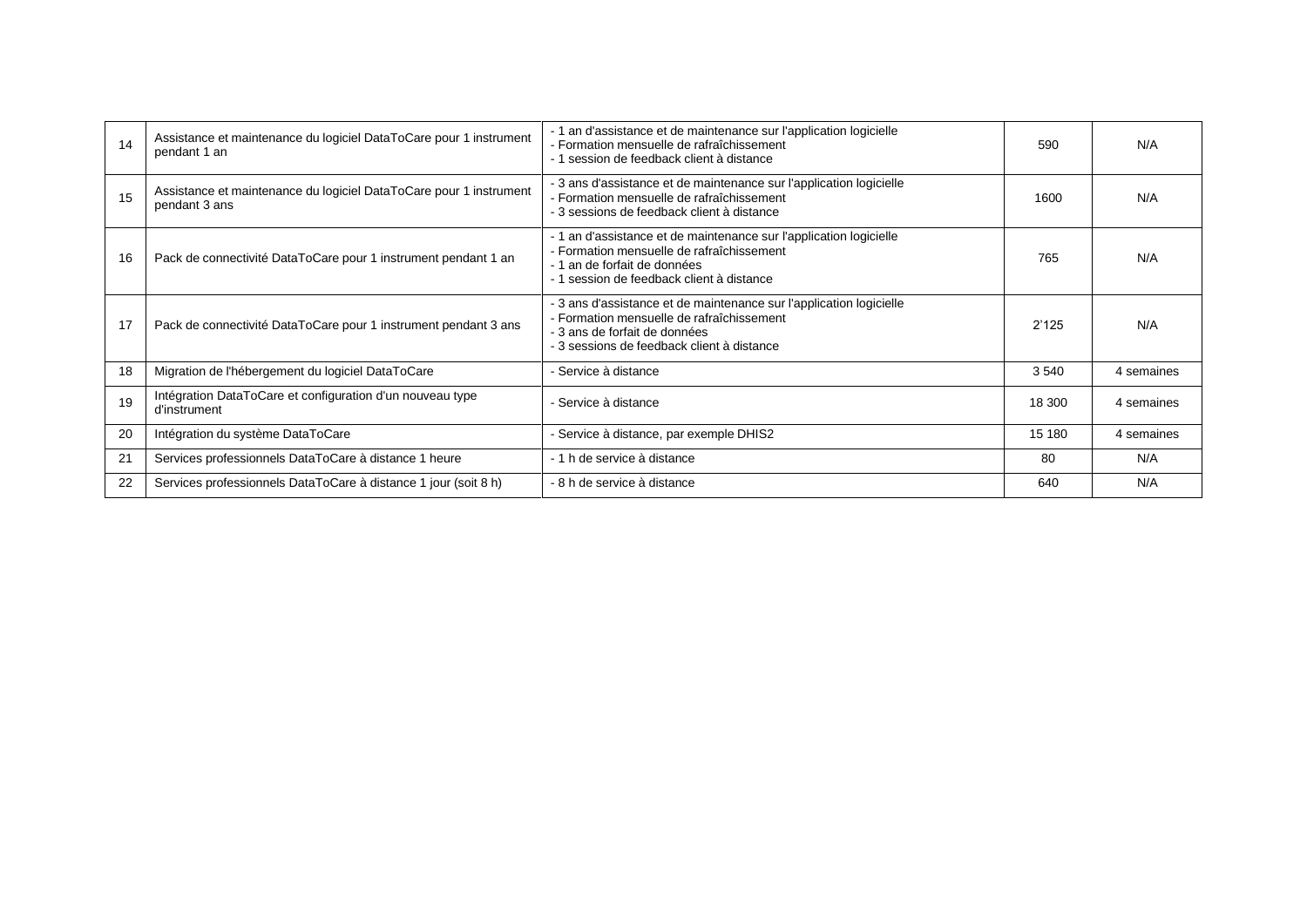| 14 | Assistance et maintenance du logiciel DataToCare pour 1 instrument<br>pendant 1 an                | - 1 an d'assistance et de maintenance sur l'application logicielle<br>- Formation mensuelle de rafraîchissement<br>- 1 session de feedback client à distance                                    |        | N/A        |
|----|---------------------------------------------------------------------------------------------------|-------------------------------------------------------------------------------------------------------------------------------------------------------------------------------------------------|--------|------------|
| 15 | Assistance et maintenance du logiciel DataToCare pour 1 instrument<br>pendant 3 ans               | - 3 ans d'assistance et de maintenance sur l'application logicielle<br>- Formation mensuelle de rafraîchissement<br>- 3 sessions de feedback client à distance                                  | 1600   | N/A        |
| 16 | Pack de connectivité DataToCare pour 1 instrument pendant 1 an                                    | - 1 an d'assistance et de maintenance sur l'application logicielle<br>- Formation mensuelle de rafraîchissement<br>-1 an de forfait de données<br>- 1 session de feedback client à distance     |        | N/A        |
| 17 | Pack de connectivité DataToCare pour 1 instrument pendant 3 ans                                   | - 3 ans d'assistance et de maintenance sur l'application logicielle<br>- Formation mensuelle de rafraîchissement<br>- 3 ans de forfait de données<br>- 3 sessions de feedback client à distance | 2'125  | N/A        |
| 18 | Migration de l'hébergement du logiciel DataToCare                                                 | Service à distance                                                                                                                                                                              | 3540   | 4 semaines |
| 19 | Intégration DataToCare et configuration d'un nouveau type<br>· Service à distance<br>d'instrument |                                                                                                                                                                                                 | 18 300 | 4 semaines |
| 20 | Intégration du système DataToCare                                                                 | Service à distance, par exemple DHIS2                                                                                                                                                           | 15 180 | 4 semaines |
| 21 | Services professionnels DataToCare à distance 1 heure                                             | - 1 h de service à distance                                                                                                                                                                     | 80     | N/A        |
| 22 | Services professionnels DataToCare à distance 1 jour (soit 8 h)                                   | - 8 h de service à distance                                                                                                                                                                     | 640    | N/A        |